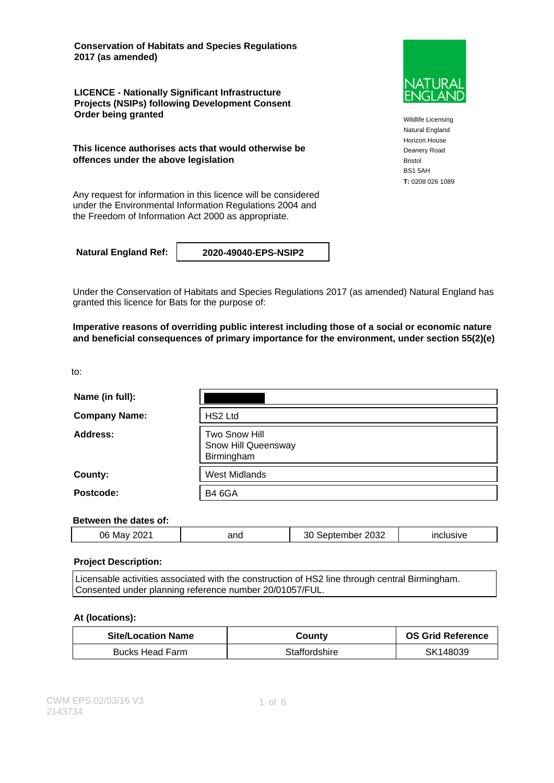**Conservation of Habitats and Species Regulations 2017 (as amended)**

**LICENCE - Nationally Significant Infrastructure Projects (NSIPs) following Development Consent Order being granted**

**This licence authorises acts that would otherwise be offences under the above legislation**

Any request for information in this licence will be considered under the Environmental Information Regulations 2004 and the Freedom of Information Act 2000 as appropriate.

**Natural England Ref: 2020-49040-EPS-NSIP2**

Under the Conservation of Habitats and Species Regulations 2017 (as amended) Natural England has granted this licence for Bats for the purpose of:

**Imperative reasons of overriding public interest including those of a social or economic nature and beneficial consequences of primary importance for the environment, under section 55(2)(e)**

to:

| Name (in full):      |                                                    |
|----------------------|----------------------------------------------------|
| <b>Company Name:</b> | HS2 Ltd                                            |
| Address:             | Two Snow Hill<br>Snow Hill Queensway<br>Birmingham |
| County:              | <b>West Midlands</b>                               |
| Postcode:            | <b>B4 6GA</b>                                      |

### **Between the dates of:**

| $\sim$ $\sim$<br>2032<br>06<br>Ma<br>2021<br>anc<br>,,,,,<br>эı<br>"י |
|-----------------------------------------------------------------------|
|-----------------------------------------------------------------------|

### **Project Description:**

Licensable activities associated with the construction of HS2 line through central Birmingham. Consented under planning reference number 20/01057/FUL.

### **At (locations):**

| <b>Site/Location Name</b> | County        | <b>OS Grid Reference</b> |
|---------------------------|---------------|--------------------------|
| Bucks Head Farm           | Staffordshire | SK148039                 |



Wildlife Licensing Natural England Horizon House Deanery Road Bristol BS1 5AH **T:** 0208 026 1089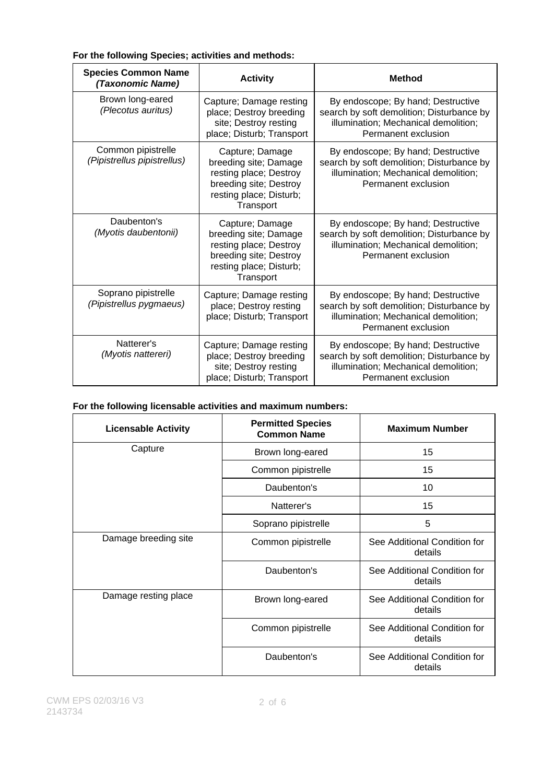### **For the following Species; activities and methods:**

| <b>Species Common Name</b><br>(Taxonomic Name)    | <b>Activity</b>                                                                                                                      | <b>Method</b>                                                                                                                                  |
|---------------------------------------------------|--------------------------------------------------------------------------------------------------------------------------------------|------------------------------------------------------------------------------------------------------------------------------------------------|
| Brown long-eared<br>(Plecotus auritus)            | Capture; Damage resting<br>place; Destroy breeding<br>site; Destroy resting<br>place; Disturb; Transport                             | By endoscope; By hand; Destructive<br>search by soft demolition; Disturbance by<br>illumination; Mechanical demolition;<br>Permanent exclusion |
| Common pipistrelle<br>(Pipistrellus pipistrellus) | Capture; Damage<br>breeding site; Damage<br>resting place; Destroy<br>breeding site; Destroy<br>resting place; Disturb;<br>Transport | By endoscope; By hand; Destructive<br>search by soft demolition; Disturbance by<br>illumination; Mechanical demolition;<br>Permanent exclusion |
| Daubenton's<br>(Myotis daubentonii)               | Capture; Damage<br>breeding site; Damage<br>resting place; Destroy<br>breeding site; Destroy<br>resting place; Disturb;<br>Transport | By endoscope; By hand; Destructive<br>search by soft demolition; Disturbance by<br>illumination; Mechanical demolition;<br>Permanent exclusion |
| Soprano pipistrelle<br>(Pipistrellus pygmaeus)    | Capture; Damage resting<br>place; Destroy resting<br>place; Disturb; Transport                                                       | By endoscope; By hand; Destructive<br>search by soft demolition; Disturbance by<br>illumination; Mechanical demolition;<br>Permanent exclusion |
| Natterer's<br>(Myotis nattereri)                  | Capture; Damage resting<br>place; Destroy breeding<br>site; Destroy resting<br>place; Disturb; Transport                             | By endoscope; By hand; Destructive<br>search by soft demolition; Disturbance by<br>illumination; Mechanical demolition;<br>Permanent exclusion |

### **For the following licensable activities and maximum numbers:**

| <b>Licensable Activity</b> | <b>Permitted Species</b><br><b>Common Name</b> | <b>Maximum Number</b>                   |
|----------------------------|------------------------------------------------|-----------------------------------------|
| Capture                    | Brown long-eared                               | 15                                      |
|                            | Common pipistrelle                             | 15                                      |
|                            | Daubenton's                                    | 10                                      |
|                            | Natterer's                                     | 15                                      |
|                            | Soprano pipistrelle                            | 5                                       |
| Damage breeding site       | Common pipistrelle                             | See Additional Condition for<br>details |
|                            | Daubenton's                                    | See Additional Condition for<br>details |
| Damage resting place       | Brown long-eared                               | See Additional Condition for<br>details |
|                            | Common pipistrelle                             | See Additional Condition for<br>details |
|                            | Daubenton's                                    | See Additional Condition for<br>details |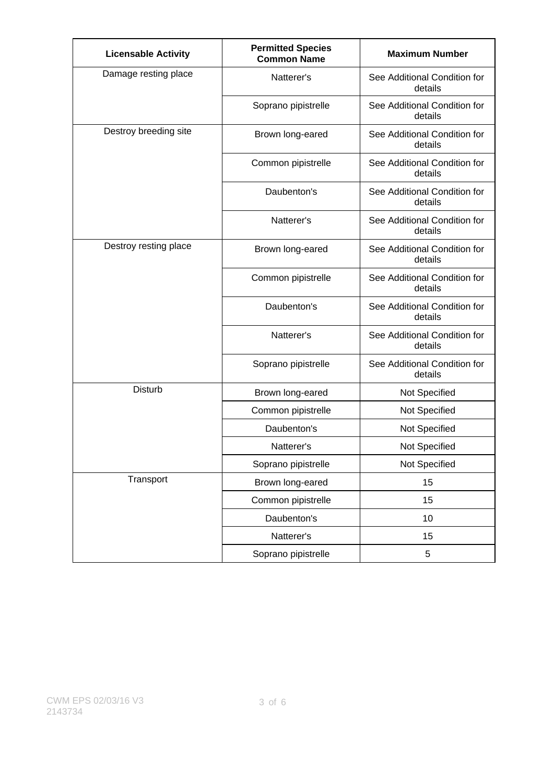| <b>Licensable Activity</b> | <b>Permitted Species</b><br><b>Common Name</b> | <b>Maximum Number</b>                   |
|----------------------------|------------------------------------------------|-----------------------------------------|
| Damage resting place       | Natterer's                                     | See Additional Condition for<br>details |
|                            | Soprano pipistrelle                            | See Additional Condition for<br>details |
| Destroy breeding site      | Brown long-eared                               | See Additional Condition for<br>details |
|                            | Common pipistrelle                             | See Additional Condition for<br>details |
|                            | Daubenton's                                    | See Additional Condition for<br>details |
|                            | Natterer's                                     | See Additional Condition for<br>details |
| Destroy resting place      | Brown long-eared                               | See Additional Condition for<br>details |
|                            | Common pipistrelle                             | See Additional Condition for<br>details |
|                            | Daubenton's                                    | See Additional Condition for<br>details |
|                            | Natterer's                                     | See Additional Condition for<br>details |
|                            | Soprano pipistrelle                            | See Additional Condition for<br>details |
| <b>Disturb</b>             | Brown long-eared                               | Not Specified                           |
|                            | Common pipistrelle                             | Not Specified                           |
|                            | Daubenton's                                    | Not Specified                           |
|                            | Natterer's                                     | Not Specified                           |
|                            | Soprano pipistrelle                            | Not Specified                           |
| Transport                  | Brown long-eared                               | 15                                      |
|                            | Common pipistrelle                             | 15                                      |
|                            | Daubenton's                                    | 10                                      |
|                            | Natterer's                                     | 15                                      |
|                            | Soprano pipistrelle                            | 5                                       |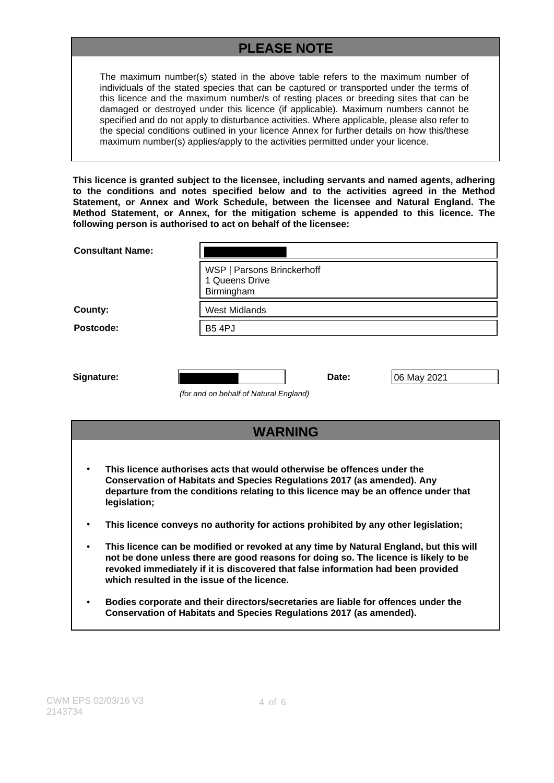# **PLEASE NOTE**

The maximum number(s) stated in the above table refers to the maximum number of individuals of the stated species that can be captured or transported under the terms of this licence and the maximum number/s of resting places or breeding sites that can be damaged or destroyed under this licence (if applicable). Maximum numbers cannot be specified and do not apply to disturbance activities. Where applicable, please also refer to the special conditions outlined in your licence Annex for further details on how this/these maximum number(s) applies/apply to the activities permitted under your licence.

**This licence is granted subject to the licensee, including servants and named agents, adhering to the conditions and notes specified below and to the activities agreed in the Method Statement, or Annex and Work Schedule, between the licensee and Natural England. The Method Statement, or Annex, for the mitigation scheme is appended to this licence. The following person is authorised to act on behalf of the licensee:**

| <b>Consultant Name:</b> |                                                            |
|-------------------------|------------------------------------------------------------|
|                         | WSP   Parsons Brinckerhoff<br>1 Queens Drive<br>Birmingham |
| County:                 | <b>West Midlands</b>                                       |
| Postcode:               | <b>B5 4PJ</b>                                              |
|                         |                                                            |
| Signature:              | Date:<br>06 May 2021                                       |
|                         | (for and on behalf of Natural England)                     |

| <b>WARNING</b>                                                                                                                                                                                                                                                                                                  |
|-----------------------------------------------------------------------------------------------------------------------------------------------------------------------------------------------------------------------------------------------------------------------------------------------------------------|
| This licence authorises acts that would otherwise be offences under the<br>Conservation of Habitats and Species Regulations 2017 (as amended). Any<br>departure from the conditions relating to this licence may be an offence under that                                                                       |
| legislation;<br>This licence conveys no authority for actions prohibited by any other legislation;                                                                                                                                                                                                              |
| This licence can be modified or revoked at any time by Natural England, but this will<br>not be done unless there are good reasons for doing so. The licence is likely to be<br>revoked immediately if it is discovered that false information had been provided<br>which resulted in the issue of the licence. |
| Bodies corporate and their directors/secretaries are liable for offences under the<br>Conservation of Habitats and Species Regulations 2017 (as amended).                                                                                                                                                       |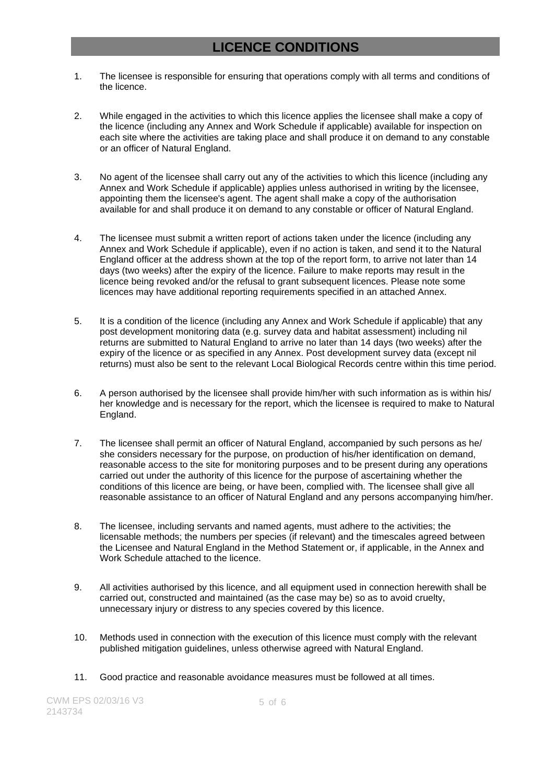## **LICENCE CONDITIONS**

- 1. The licensee is responsible for ensuring that operations comply with all terms and conditions of the licence.
- 2. While engaged in the activities to which this licence applies the licensee shall make a copy of the licence (including any Annex and Work Schedule if applicable) available for inspection on each site where the activities are taking place and shall produce it on demand to any constable or an officer of Natural England.
- 3. No agent of the licensee shall carry out any of the activities to which this licence (including any Annex and Work Schedule if applicable) applies unless authorised in writing by the licensee, appointing them the licensee's agent. The agent shall make a copy of the authorisation available for and shall produce it on demand to any constable or officer of Natural England.
- 4. The licensee must submit a written report of actions taken under the licence (including any Annex and Work Schedule if applicable), even if no action is taken, and send it to the Natural England officer at the address shown at the top of the report form, to arrive not later than 14 days (two weeks) after the expiry of the licence. Failure to make reports may result in the licence being revoked and/or the refusal to grant subsequent licences. Please note some licences may have additional reporting requirements specified in an attached Annex.
- 5. It is a condition of the licence (including any Annex and Work Schedule if applicable) that any post development monitoring data (e.g. survey data and habitat assessment) including nil returns are submitted to Natural England to arrive no later than 14 days (two weeks) after the expiry of the licence or as specified in any Annex. Post development survey data (except nil returns) must also be sent to the relevant Local Biological Records centre within this time period.
- 6. A person authorised by the licensee shall provide him/her with such information as is within his/ her knowledge and is necessary for the report, which the licensee is required to make to Natural England.
- 7. The licensee shall permit an officer of Natural England, accompanied by such persons as he/ she considers necessary for the purpose, on production of his/her identification on demand, reasonable access to the site for monitoring purposes and to be present during any operations carried out under the authority of this licence for the purpose of ascertaining whether the conditions of this licence are being, or have been, complied with. The licensee shall give all reasonable assistance to an officer of Natural England and any persons accompanying him/her.
- 8. The licensee, including servants and named agents, must adhere to the activities; the licensable methods; the numbers per species (if relevant) and the timescales agreed between the Licensee and Natural England in the Method Statement or, if applicable, in the Annex and Work Schedule attached to the licence.
- 9. All activities authorised by this licence, and all equipment used in connection herewith shall be carried out, constructed and maintained (as the case may be) so as to avoid cruelty, unnecessary injury or distress to any species covered by this licence.
- 10. Methods used in connection with the execution of this licence must comply with the relevant published mitigation guidelines, unless otherwise agreed with Natural England.
- 11. Good practice and reasonable avoidance measures must be followed at all times.